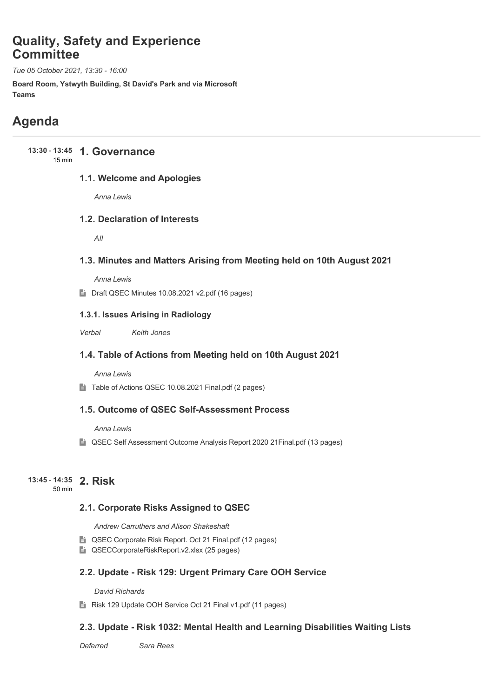# **Quality, Safety and Experience Committee**

*Tue 05 October 2021, 13:30 - 16:00*

**Board Room, Ystwyth Building, St David's Park and via Microsoft Teams**

# **Agenda**

#### **13:30 - 13:45 1. Governance** 15 min

### **1.1. Welcome and Apologies**

*Anna Lewis*

### **1.2. Declaration of Interests**

*All*

### **1.3. Minutes and Matters Arising from Meeting held on 10th August 2021**

*Anna Lewis*

■ Draft QSEC Minutes 10.08.2021 v2.pdf (16 pages)

### **1.3.1. Issues Arising in Radiology**

*Verbal Keith Jones*

### **1.4. Table of Actions from Meeting held on 10th August 2021**

*Anna Lewis*

Table of Actions QSEC 10.08.2021 Final.pdf (2 pages)

### **1.5. Outcome of QSEC Self-Assessment Process**

*Anna Lewis*

■ QSEC Self Assessment Outcome Analysis Report 2020 21 Final.pdf (13 pages)

#### **2. Risk 13:45** - **14:35** 50 min

### **2.1. Corporate Risks Assigned to QSEC**

*Andrew Carruthers and Alison Shakeshaft*

- QSEC Corporate Risk Report. Oct 21 Final.pdf (12 pages)
- QSECCorporateRiskReport.v2.xlsx (25 pages)

### **2.2. Update - Risk 129: Urgent Primary Care OOH Service**

*David Richards*

Risk 129 Update OOH Service Oct 21 Final v1.pdf (11 pages)

### **2.3. Update - Risk 1032: Mental Health and Learning Disabilities Waiting Lists**

*Deferred Sara Rees*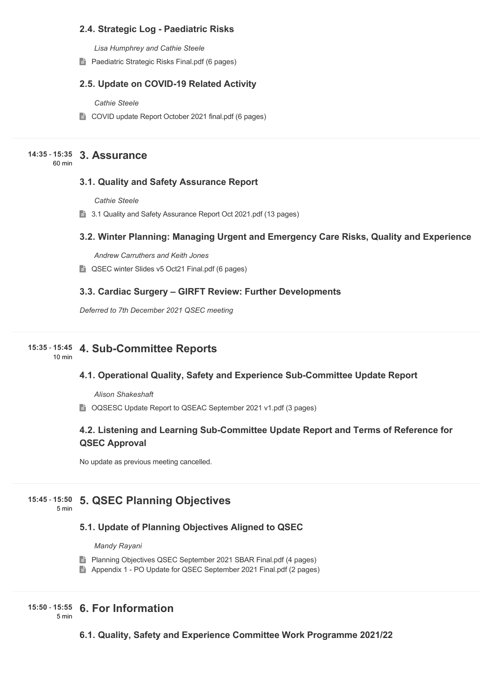### **2.4. Strategic Log - Paediatric Risks**

*Lisa Humphrey and Cathie Steele*

**Paediatric Strategic Risks Final.pdf (6 pages)** 

### **2.5. Update on COVID-19 Related Activity**

*Cathie Steele*

■ COVID update Report October 2021 final.pdf (6 pages)

## **3. Assurance 14:35** - **15:35**

60 min

### **3.1. Quality and Safety Assurance Report**

*Cathie Steele*

3.1 Quality and Safety Assurance Report Oct 2021.pdf (13 pages)

### **3.2. Winter Planning: Managing Urgent and Emergency Care Risks, Quality and Experience**

*Andrew Carruthers and Keith Jones*

■ QSEC winter Slides v5 Oct21 Final.pdf (6 pages)

### **3.3. Cardiac Surgery – GIRFT Review: Further Developments**

*Deferred to 7th December 2021 QSEC meeting* 

## **4. Sub-Committee Reports 15:35** - **15:45**

10 min

# **4.1. Operational Quality, Safety and Experience Sub-Committee Update Report**

*Alison Shakeshaft*

■ OQSESC Update Report to QSEAC September 2021 v1.pdf (3 pages)

### **4.2. Listening and Learning Sub-Committee Update Report and Terms of Reference for QSEC Approval**

No update as previous meeting cancelled.

## **5. QSEC Planning Objectives 15:45** - **15:50**

5 min

### **5.1. Update of Planning Objectives Aligned to QSEC**

*Mandy Rayani*

- **Planning Objectives QSEC September 2021 SBAR Final.pdf (4 pages)**
- Appendix 1 PO Update for QSEC September 2021 Final.pdf (2 pages)

# **6. For Information 15:50** - **15:55**

5 min

**6.1. Quality, Safety and Experience Committee Work Programme 2021/22**